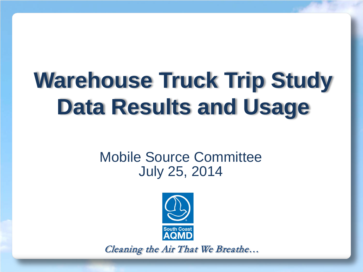# **Warehouse Truck Trip Study Data Results and Usage**

#### Mobile Source Committee July 25, 2014



Cleaning the Air That We Breathe…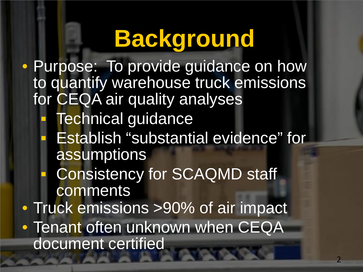# **Background**

• Purpose: To provide guidance on how to quantify warehouse truck emissions for CEQA air quality analyses Technical guidance Establish "substantial evidence" for assumptions Consistency for SCAQMD staff comments • Truck emissions >90% of air impact • Tenant often unknown when CEQA document certified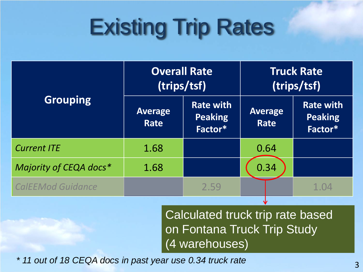# Existing Trip Rates

|                          | <b>Overall Rate</b><br>(trips/tsf) |                                               | <b>Truck Rate</b><br>(trips/tsf) |                                               |
|--------------------------|------------------------------------|-----------------------------------------------|----------------------------------|-----------------------------------------------|
| <b>Grouping</b>          | <b>Average</b><br><b>Rate</b>      | <b>Rate with</b><br><b>Peaking</b><br>Factor* | <b>Average</b><br><b>Rate</b>    | <b>Rate with</b><br><b>Peaking</b><br>Factor* |
| <b>Current ITE</b>       | 1.68                               |                                               | 0.64                             |                                               |
| Majority of CEQA docs*   | 1.68                               |                                               | 0.34                             |                                               |
| <b>CalEEMod Guidance</b> |                                    | 2.59                                          |                                  | 1.04                                          |

Calculated truck trip rate based on Fontana Truck Trip Study (4 warehouses)

V

3 *\* 11 out of 18 CEQA docs in past year use 0.34 truck rate*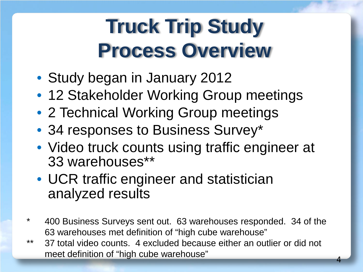#### **Truck Trip Study Process Overview**

- Study began in January 2012
- 12 Stakeholder Working Group meetings
- 2 Technical Working Group meetings
- 34 responses to Business Survey\*
- Video truck counts using traffic engineer at 33 warehouses\*\*
- UCR traffic engineer and statistician analyzed results
- \* 400 Business Surveys sent out. 63 warehouses responded. 34 of the 63 warehouses met definition of "high cube warehouse"
- \*\* 37 total video counts. 4 excluded because either an outlier or did not meet definition of "high cube warehouse"

4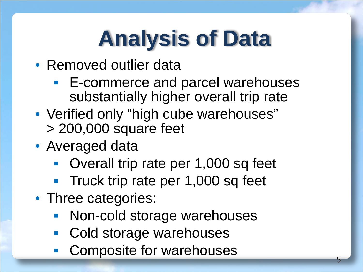# **Analysis of Data**

- Removed outlier data
	- E-commerce and parcel warehouses substantially higher overall trip rate
- Verified only "high cube warehouses" > 200,000 square feet
- Averaged data
	- **Overall trip rate per 1,000 sq feet**
	- **Truck trip rate per 1,000 sq feet**
- Three categories:
	- Non-cold storage warehouses
	- Cold storage warehouses
	- Composite for warehouses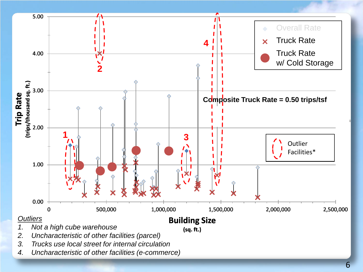

*4. Uncharacteristic of other facilities (e-commerce)*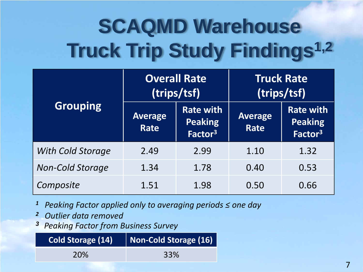## **SCAQMD Warehouse Truck Trip Study Findings1,2**

|                          | <b>Overall Rate</b><br>(trips/tsf) |                                                           | <b>Truck Rate</b><br>(trips/tsf) |                                                           |
|--------------------------|------------------------------------|-----------------------------------------------------------|----------------------------------|-----------------------------------------------------------|
| Grouping                 | <b>Average</b><br>Rate             | <b>Rate with</b><br><b>Peaking</b><br>Factor <sup>3</sup> | <b>Average</b><br>Rate           | <b>Rate with</b><br><b>Peaking</b><br>Factor <sup>3</sup> |
| <b>With Cold Storage</b> | 2.49                               | 2.99                                                      | 1.10                             | 1.32                                                      |
| <b>Non-Cold Storage</b>  | 1.34                               | 1.78                                                      | 0.40                             | 0.53                                                      |
| Composite                | 1.51                               | 1.98                                                      | 0.50                             | 0.66                                                      |

- *<sup>1</sup> Peaking Factor applied only to averaging periods ≤ one day*
- *<sup>2</sup> Outlier data removed*
- *<sup>3</sup>Peaking Factor from Business Survey*

| <b>Cold Storage (14)</b> | Non-Cold Storage (16) |
|--------------------------|-----------------------|
| <b>20%</b>               | 33%                   |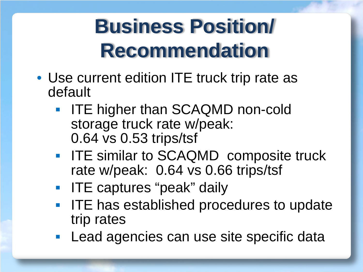### **Business Position/ Recommendation**

- Use current edition ITE truck trip rate as default
	- **IFE higher than SCAQMD non-cold** storage truck rate w/peak: 0.64 vs 0.53 trips/tsf
	- **IFE similar to SCAQMD composite truck** rate w/peak: 0.64 vs 0.66 trips/tsf
	- **IFE captures "peak" daily**
	- **ITE has established procedures to update** trip rates
	- **Lead agencies can use site specific data**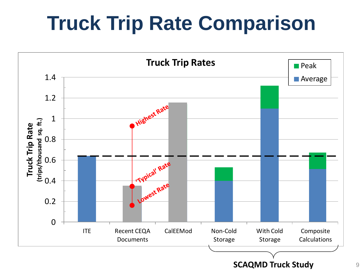### **Truck Trip Rate Comparison**

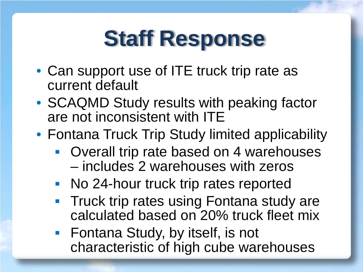## **Staff Response**

- Can support use of ITE truck trip rate as current default
- SCAQMD Study results with peaking factor are not inconsistent with ITE
- Fontana Truck Trip Study limited applicability
	- Overall trip rate based on 4 warehouses – includes 2 warehouses with zeros
	- **No 24-hour truck trip rates reported**
	- **Truck trip rates using Fontana study are** calculated based on 20% truck fleet mix
	- Fontana Study, by itself, is not characteristic of high cube warehouses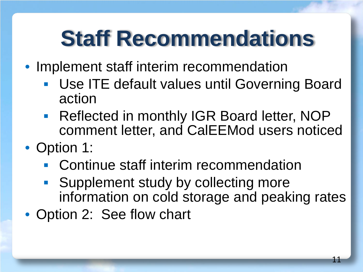## **Staff Recommendations**

- Implement staff interim recommendation
	- Use ITE default values until Governing Board action
	- **Reflected in monthly IGR Board letter, NOP** comment letter, and CalEEMod users noticed
- Option 1:
	- **Continue staff interim recommendation**
	- Supplement study by collecting more information on cold storage and peaking rates
- Option 2: See flow chart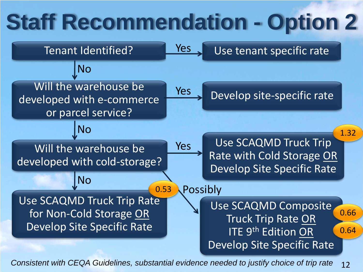## **Staff Recommendation - Option 2**



12 *Consistent with CEQA Guidelines, substantial evidence needed to justify choice of trip rate*